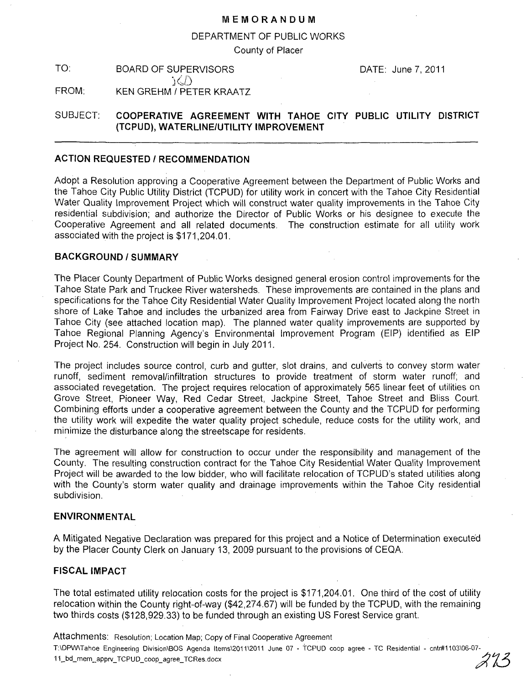### **MEMORANDUM**

### DEPARTMENT OF PUBLIC WORKS

County of Placer

TO: BOARD OF SUPERVISORS DATE: June 7, 2011  $\Delta$ FROM: KEN GREHM / PETER KRAATZ

# SUBJECT: **COOPERATIVE AGREEMENT WITH TAHOE CITY PUBLIC UTILITY DISTRICT (TCPUD), WATERLINE/UTILITY IMPROVEMENT**

# **ACTION REQUESTED / RECOMMENDATION**

Adopt a Resolution approving a Cooperative Agreement between the Department of Public Works and the Tahoe City Public Utility District (TCPUD) for utility work in concert with the Tahoe City Residential Water Quality Improvement Project which will construct water quality improvements in the Tahoe City residential subdivision; and authorize the Director of Public Works or his designee to execute the Cooperative Agreement and all related documents. The construction estimate for all utility work associated with the project is \$171,204.01.

### **BACKGROUND/SUMMARY**

The Placer County Department of Public Works designed general erosion control improvements for the Tahoe State Park and Truckee River watersheds. These improvements are contained in the plans and specifications for the Tahoe City Residential Water Quality Improvement Project located along the north shore of Lake Tahoe and includes the urbanized area from Fairway Drive east to Jackpine Street in Tahoe City (see attached location map). The planned water quality improvements are supported by Tahoe Regional Planning Agency's Environmental Improvement Program (EIP) identified as EIP Project No. 254. Construction will begin in July 2011.

The project includes source control, curb and gutter, slot drains, and culverts to convey storm water runoff, sediment removallinfiltration structures to provide treatment of storm water runoff; and associated revegetation. The project requires relocation of approximately 565 linear feet of utilities on Grove Street, Pioneer Way, Red Cedar Street, Jackpine Street, Tahoe Street and Bliss Court. Combining efforts under a cooperative agreement between the County and the TCPUD for performing the utility work will expedite the water quality project schedule, reduce costs for the utility work, and minimize the disturbance along the streetscape for residents.

The agreement will allow for construction to occur under the responsibility and management of the County. The resulting construction contract for the Tahoe City Residential Water Quality Improvement Project will be awarded to the low bidder, who will facilitate relocation of TCPUD's stated utilities along with the County's storm water quality and drainage improvements within the Tahoe City residential subdivision.

### **ENVIRONMENTAL**

A Mitigated Negative Declaration was prepared for this project and a Notice of Determination executed by the Placer County Clerk on January 13, 2009 pursuant to the provisions of CEQA.

# **FISCAL IMPACT**

The total estimated utility relocation costs for the project is \$171,204.01. One third of the cost of utility relocation within the County right-of-way (\$42,274.67) will be funded by the TCPUD, with the remaining two thirds costs (\$128,929.33) to be funded through an existing US Forest Service grant.

Attachments: Resolution; Location Map; Copy of Final Cooperative Agreement T:\DPW\Tahoe Engineering Division\BOS Agenda Items\2011\2011 June 07 - TCPUD coop agree - TC Residential - cntr#1103\06-07-<br>11\_bd\_mem\_apprv\_TCPUD\_coop\_agree\_TCRes.docx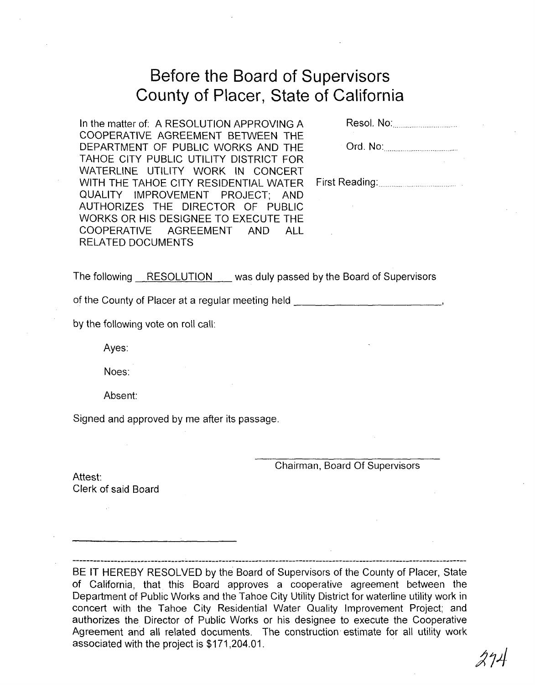# **Before the Board of Supervisors County of Placer, State of California**

In the matter of: A RESOLUTION APPROVING A COOPERATIVE AGREEMENT BETWEEN THE DEPARTMENT OF PUBLIC WORKS AND THE TAHOE CITY PUBLIC UTILITY DISTRICT FOR WATERLINE UTILITY WORK IN CONCERT WITH THE TAHOE CITY RESIDENTIAL WATER QUALITY IMPROVEMENT PROJECT; AND AUTHORIZES THE DIRECTOR OF PUBLIC WORKS OR HIS DESIGNEE TO EXECUTE THE COOPERATIVE AGREEMENT AND ALL RELATED DOCUMENTS

| Resol, No: |
|------------|
|            |

| Ord. No: |
|----------|
|          |

First Reading: ........................... .

The following RESOLUTION was duly passed by the Board of Supervisors

of the County of Placer at a regular meeting held **of the County of Placer at a regular meeting held** 

by the following vote on roll call:

Ayes:

Noes:

Absent:

Signed and approved by me after its passage.

Chairman, Board Of Supervisors

Attest: Clerk of said Board

BE IT HEREBY RESOLVED by the Board of Supervisors of the County of Placer, State of California, that this Board approves a cooperative agreement between the Department of Public Works and the Tahoe City Utility District for waterline utility work in concert with the Tahoe City Residential Water Quality Improvement Project; and authorizes the Director of Public Works or his designee to execute the Cooperative Agreement and all related documents. The construction estimate for all utility work associated with the project is \$171,204.01.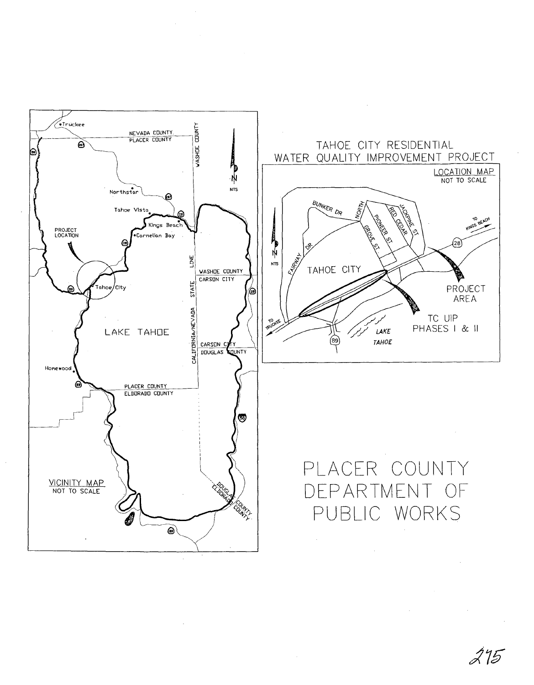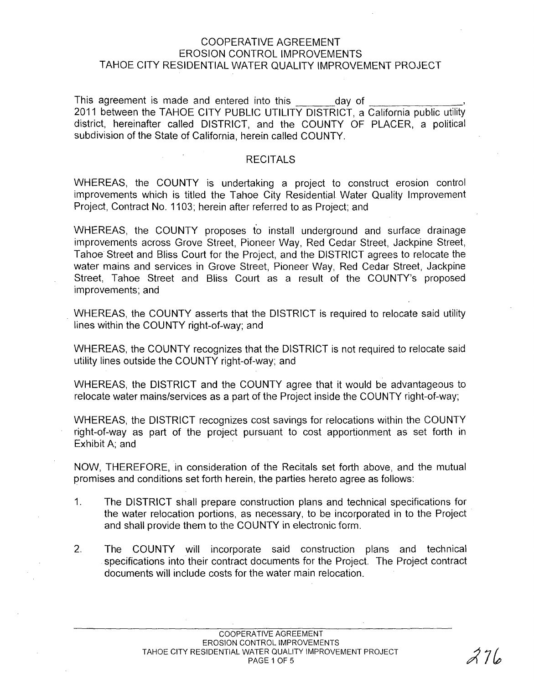# COOPERATIVE AGREEMENT EROSION CONTROL IMPROVEMENTS TAHOE CITY RESIDENTIAL WATER QUALITY IMPROVEMENT PROJECT

This agreement is made and entered into this day of 2011 between the TAHOE CITY PUBLIC UTILITY DISTRICT, a California public utility district, hereinafter called DISTRICT, and the COUNTY OF PLACER, a political subdivision of the State of California, herein called COUNTY.

# **RECITALS**

WHEREAS, the COUNTY is undertaking a project to construct erosion control improvements which is titled the Tahoe City Residential Water Quality Improvement Project, Contract No. 1103; herein after referred to as Project; and

WHEREAS, the COUNTY proposes fo install underground and surface drainage improvements across Grove Street, Pioneer Way, Red Cedar Street, Jackpine Street, Tahoe Street and Bliss Court for the Project, and the DISTRICT agrees to relocate the water mains and services in Grove Street, Pioneer Way, Red Cedar Street, Jackpine Street, Tahoe Street and Bliss Court as a result of the COUNTY's proposed improvements; and

. WHEREAS, the COUNTY asserts that the DISTRICT is required to relocate said utility lines within the COUNTY right-of-way; and

WHEREAS, the COUNTY recognizes that the DISTRICT is not required to relocate said utility lines outside the COUNTY right-of-way; and

WHEREAS, the DISTRICT and the COUNTY agree that it would be advantageous to relocate water mains/services as a part of the Project inside the COUNTY right-of-way;

WHEREAS, the DISTRICT recognizes cost savings for relocations within the COUNTY right-of-way as part of the project pursuant to cost apportionment as set forth in Exhibit A; and

NOW, THEREFORE, in consideration of the Recitals set forth above, and the mutual promises and conditions set forth herein, the parties hereto agree as follows:

- 1. The DISTRICT shall prepare construction plans and technical specifications for the water relocation portions, as necessary, to be incorporated in to the Project and shall provide them to the COUNTY in electronic form.
- 2. The COUNTY will incorporate said construction plans and technical specifications into their contract documents for the Project. The Project contract documents will include costs for the water main relocation.

 $27/$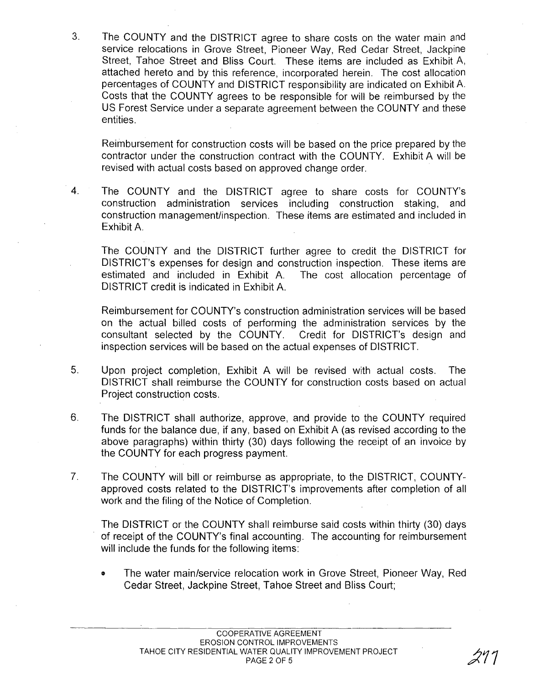3. The COUNTY and the DISTRICT agree to share costs on the water main and service relocations in Grove Street, Pioneer Way, Red Cedar Street, Jackpine Street, Tahoe Street and Bliss Court. These items are included as Exhibit A, attached hereto and by this reference, incorporated herein. The cost allocation percentages of COUNTY and DISTRICT responsibility are indicated on Exhibit A. Costs that the COUNTY agrees to be responsible for will be reimbursed by the US Forest Service under a separate agreement between the COUNTY and these entities.

Reimbursement for construction costs will be based on the price prepared by the contractor under the construction contract with the COUNTY. Exhibit A will be revised with actual costs based on approved change order.

4. The COUNTY and the DISTRICT agree to share costs for COUNTY's construction administration services including construction staking, and construction management/inspection. These items are estimated and included in Exhibit A.

The COUNTY and the DISTRICT further agree to credit the DISTRICT for DISTRICT's expenses for design and construction inspection. These items are estimated and included in Exhibit A. The cost allocation percentage of DISTRICT credit is indicated in Exhibit A.

Reimbursement for COUNTY's construction administration services will be based on the actual billed costs of performing the administration services by the consultant selected by the COUNTY. Credit for DISTRICT's design and inspection services will be based on the actual expenses of DISTRICT.

- 5. Upon project completion, Exhibit A will be revised with actual costs. The DISTRICT shall reimburse the COUNTY for construction costs based on actual Project construction costs.
- 6. The DISTRICT shall authorize, approve, and provide to the COUNTY required funds for the balance due, if any, based on Exhibit A (as revised according to the above paragraphs) within thirty (30) days following the receipt of an invoice by the COUNTY for each progress payment.
- 7. The COUNTY will bill or reimburse as appropriate, to the DISTRICT, COUNTYapproved costs related to the DISTRICT's improvements after completion of all work and the filing of the Notice of Completion.

The DISTRICT or the COUNTY shall reimburse said costs within thirty (30) days of receipt of the COUNTY's final accounting. The accounting for reimbursement will include the funds for the following items:

o The water main/service relocation work in Grove Street, Pioneer Way, Red Cedar Street, Jackpine Street, Tahoe Street and Bliss Court;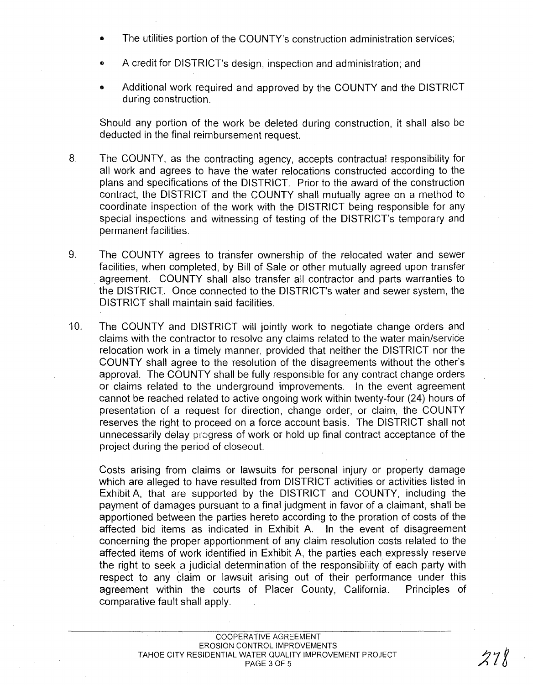- The utilities portion of the COUNTY's construction administration services;
- A credit for DISTRICT's design, inspection and administration; and
- Additional work required and approved by the COUNTY and the DISTRICT during construction.

Should any portion of the work be deleted during construction, it shall also be deducted in the final reimbursement request.

- 8. The COUNTY, as the contracting agency, accepts contractual responsibility for all work and agrees to have the water relocations constructed according to the plans and specifications of the DISTRICT. Prior to the award of the construction contract, the DISTRICT and the COUNTY shall mutually agree on a method to coordinate inspection of the work with the DISTRICT being responsible for any special inspections and witnessing of testing of the DISTRICT's temporary and permanent facilities.
- 9. The COUNTY agrees to transfer ownership of the relocated water and sewer facilities, when completed, by Bill of Sale or other mutually agreed upon transfer agreement. COUNTY shall also transfer all contractor and parts warranties to the DISTRICT. Once connected to the DISTRICT's water and sewer system, the DISTRICT shall maintain said facilities.
- 10. The COUNTY and DISTRICT will jointly work to negotiate change orders and claims with the contractor to resolve any claims related to the water main/service relocation work in a timely manner, provided that neither the DISTRICT nor the COUNTY shall agree to the resolution of the disagreements without the other's approval. The COUNTY shall be fully responsible for any contract change orders or claims related to the underground improvements. In the event agreement cannot be reached related to active ongoing work within twenty-four (24) hours of presentation of a request for direction, change order, or claim, the COUNTY reserves the right to proceed on a force account basis. The DISTRICT shall not unnecessarily delay progress of work or hold up final contract acceptance of the project during the period of closeout.

Costs arising from claims or lawsuits for personal injury or property damage which are alleged to have resulted from DISTRICT activities or activities listed in Exhibit A, that are supported by the DISTRICT and COUNTY, including the payment of damages pursuant to a final judgment in favor of a claimant, shall be apportioned between the parties hereto according to the proration of costs of the affected bid items as indicated in Exhibit A. In the event of disagreement concerning the proper apportionment of any claim resolution costs related to the affected items of work identified in Exhibit A, the parties each expressly reserve the right to seek a judicial determination of the responsibility of each party with respect to any claim or lawsuit arising out of their performance under this agreement within the courts of Placer County, California. Principles of comparative fault shall apply.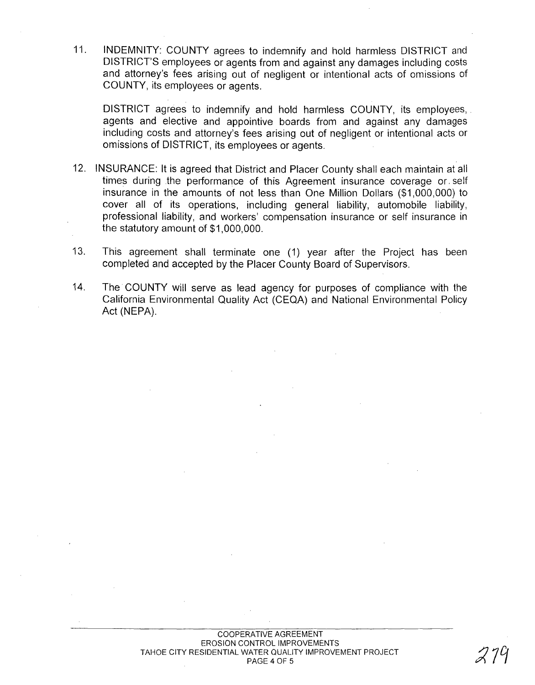11. INDEMNITY: COUNTY agrees to indemnify and hold harmless DISTRICT and DISTRICT'S employees or agents from and against any damages including costs and attorney's fees arising out of negligent or intentional acts of omissions of COUNTY, its employees or agents.

DISTRICT agrees to indemnify and hold harmless COUNTY, its employees, agents and elective and appointive boards from and against any damages including costs and attorney's fees arising out of negligent or intentional acts or omissions of DISTRICT, its employees or agents.

- 12. INSURANCE: It is agreed that District and Placer County shall each maintain at all times during the performance of this Agreement insurance coverage or. self insurance in the amounts of not less than One Million Dollars (\$1,000,000) to cover all of its operations, including general liability, automobile liability, professional liability, and workers' compensation insurance or self insurance in the statutory amount of \$1,000,000.
- 13. This agreement shall terminate one (1) year after the Project has been completed and accepted by the Placer County Board of Supervisors.
- 14. The COUNTY will serve as lead agency for purposes of compliance with the California Environmental Quality Act (CEQA) and National Environmental Policy Act (NEPA).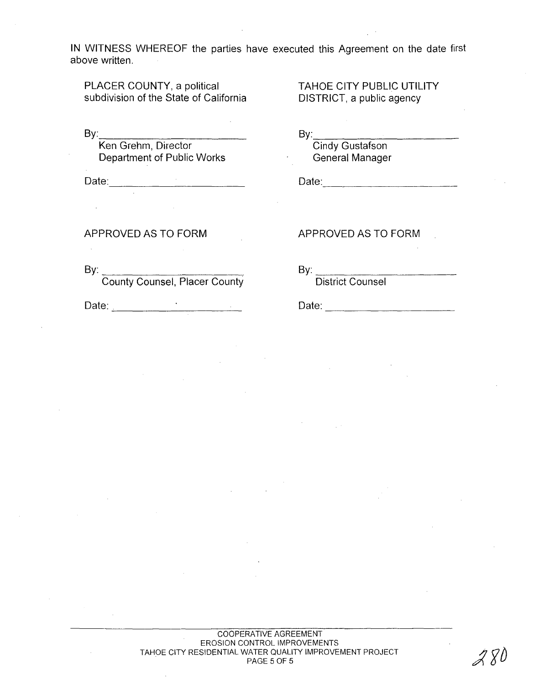**IN WITNESS WHEREOF the parties have executed this Agreement on the date first above written.** 

**PLACER COUNTY, a political subdivision of the State of California** 

By: \_\_\_\_\_\_\_\_\_\_\_ \_

**Ken Grehm, Director Department of Public Works** 

**Date:** -----------

**TAHOE CITY PUBLIC UTILITY DISTRICT, a public agency** 

By: \_\_\_\_\_\_\_\_\_\_ \_ **Cindy Gustafson General Manager** 

Date: \_\_\_ \_\_ \_\_ \_\_ \_\_ \_\_ \_\_ \_\_ \_\_

**APPROVED AS TO FORM** 

By: County Counsel, Placer County

Date: <u>\_\_\_\_\_\_\_\_\_\_\_\_\_\_\_\_\_\_\_\_\_\_\_\_\_\_\_\_\_\_\_\_\_\_</u>

**APPROVED AS TO FORM** 

By: \_\_\_\_\_\_\_\_\_\_ \_

**District Counsel** 

Date:  $\Box$